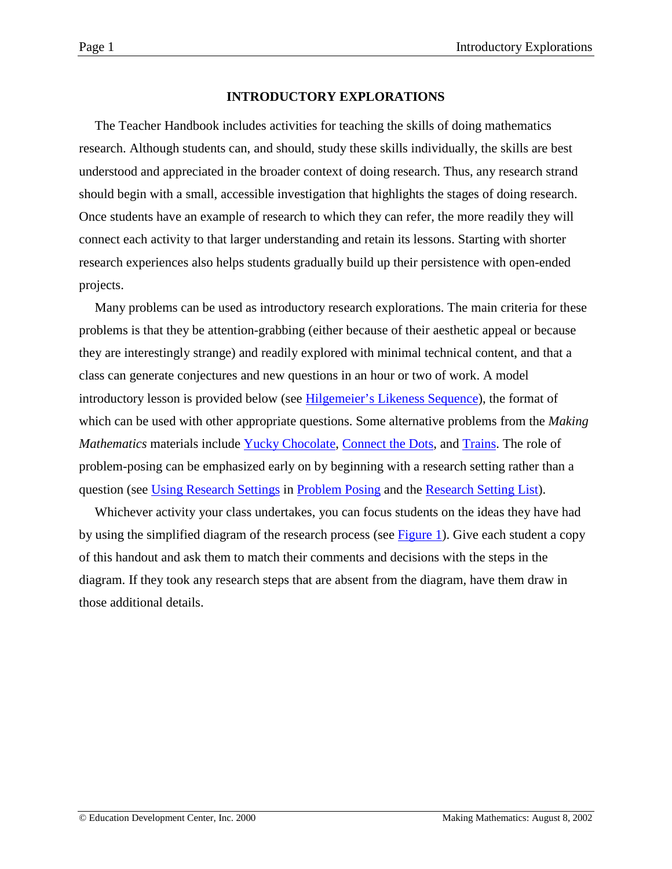#### **INTRODUCTORY EXPLORATIONS**

The Teacher Handbook includes activities for teaching the skills of doing mathematics research. Although students can, and should, study these skills individually, the skills are best understood and appreciated in the broader context of doing research. Thus, any research strand should begin with a small, accessible investigation that highlights the stages of doing research. Once students have an example of research to which they can refer, the more readily they will connect each activity to that larger understanding and retain its lessons. Starting with shorter research experiences also helps students gradually build up their persistence with open-ended projects.

Many problems can be used as introductory research explorations. The main criteria for these problems is that they be attention-grabbing (either because of their aesthetic appeal or because they are interestingly strange) and readily explored with minimal technical content, and that a class can generate conjectures and new questions in an hour or two of work. A model introductory lesson is provided below (see [Hilgemeier's Likeness Sequence\)](#page-2-0), the format of which can be used with other appropriate questions. Some alternative problems from the *Making Mathematics* materials include [Yucky Chocolate,](http://www2.edc.org/makingmath/handbook/teacher/Proof/Proof.asp#PracticeActivities) [Connect the Dots,](http://www2.edc.org/makingmath/mathsettings/connect/connect.asp) and [Trains.](http://www2.edc.org/makingmath/mathprojects/trains/trains.asp) The role of problem-posing can be emphasized early on by beginning with a research setting rather than a question (see [Using Research Settings](http://www2.edc.org/makingmath/handbook/teacher/ProblemPosing/ProblemPosing.asp#UsingResearchSettings) in [Problem Posing](http://www2.edc.org/makingmath/handbook/teacher/ProblemPosing/ProblemPosing.asp) and the [Research Setting List\)](http://www2.edc.org/makingmath/mathproj.asp#rssett).

Whichever activity your class undertakes, you can focus students on the ideas they have had by using the simplified diagram of the research process (see [Figure 1\)](#page-1-0). Give each student a copy of this handout and ask them to match their comments and decisions with the steps in the diagram. If they took any research steps that are absent from the diagram, have them draw in those additional details.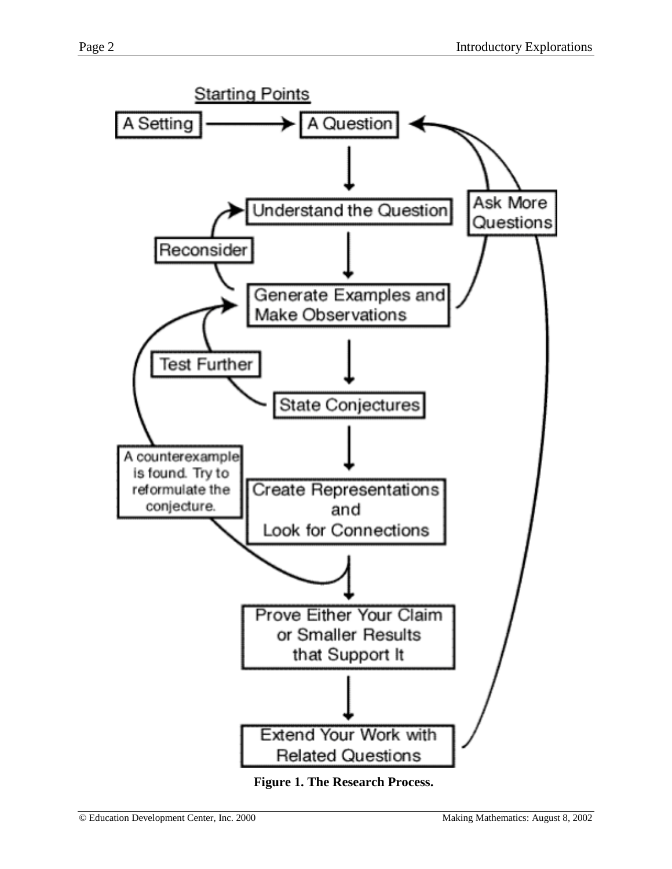<span id="page-1-0"></span>

**Figure 1. The Research Process.**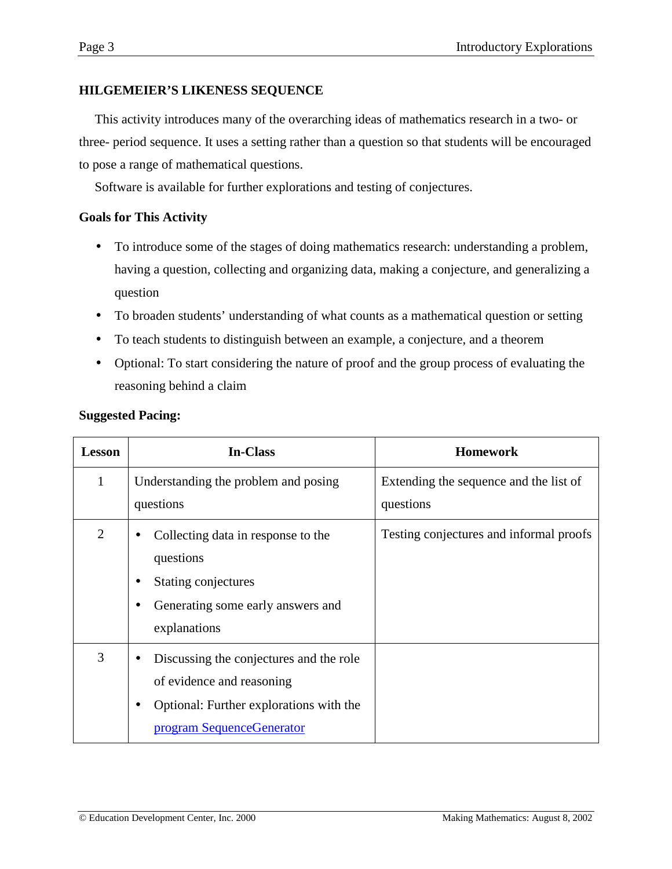# <span id="page-2-0"></span>**HILGEMEIER'S LIKENESS SEQUENCE**

This activity introduces many of the overarching ideas of mathematics research in a two- or three- period sequence. It uses a setting rather than a question so that students will be encouraged to pose a range of mathematical questions.

Software is available for further explorations and testing of conjectures.

# **Goals for This Activity**

- To introduce some of the stages of doing mathematics research: understanding a problem, having a question, collecting and organizing data, making a conjecture, and generalizing a question
- To broaden students' understanding of what counts as a mathematical question or setting
- To teach students to distinguish between an example, a conjecture, and a theorem
- Optional: To start considering the nature of proof and the group process of evaluating the reasoning behind a claim

| <b>Lesson</b>  | <b>In-Class</b>                                                                                                                                           | <b>Homework</b>                                     |  |  |  |  |  |  |  |
|----------------|-----------------------------------------------------------------------------------------------------------------------------------------------------------|-----------------------------------------------------|--|--|--|--|--|--|--|
| $\mathbf{1}$   | Understanding the problem and posing<br>questions                                                                                                         | Extending the sequence and the list of<br>questions |  |  |  |  |  |  |  |
| $\overline{2}$ | Collecting data in response to the<br>questions<br>Stating conjectures<br>Generating some early answers and<br>explanations                               | Testing conjectures and informal proofs             |  |  |  |  |  |  |  |
| 3              | Discussing the conjectures and the role<br>of evidence and reasoning<br>Optional: Further explorations with the<br>$\bullet$<br>program SequenceGenerator |                                                     |  |  |  |  |  |  |  |

# **Suggested Pacing:**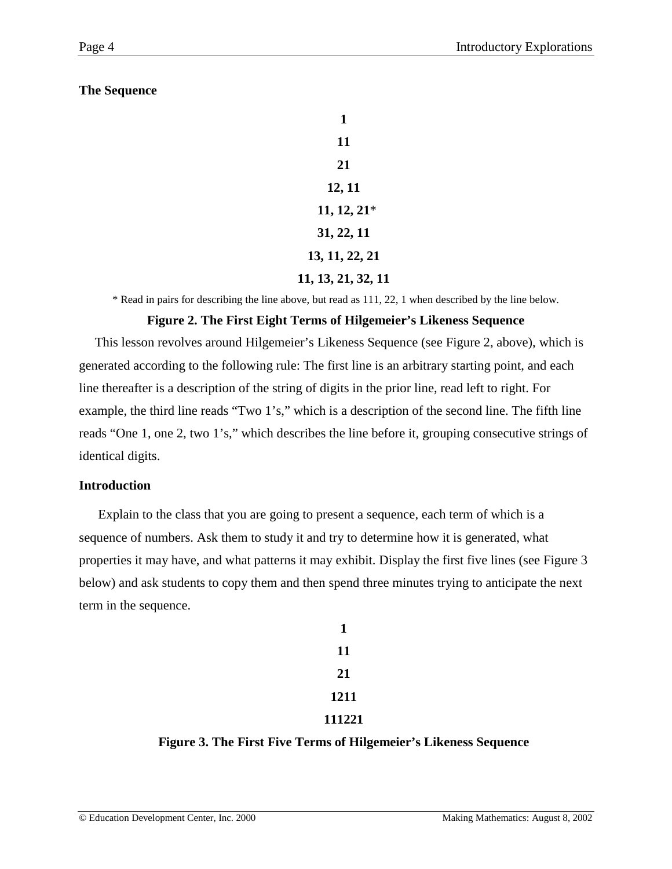# **The Sequence**

| 1                  |
|--------------------|
| 11                 |
| 21                 |
| 12, 11             |
| $11, 12, 21*$      |
| 31, 22, 11         |
| 13, 11, 22, 21     |
| 11, 13, 21, 32, 11 |

\* Read in pairs for describing the line above, but read as 111, 22, 1 when described by the line below.

# **Figure 2. The First Eight Terms of Hilgemeier's Likeness Sequence**

This lesson revolves around Hilgemeier's Likeness Sequence (see Figure 2, above), which is generated according to the following rule: The first line is an arbitrary starting point, and each line thereafter is a description of the string of digits in the prior line, read left to right. For example, the third line reads "Two 1's," which is a description of the second line. The fifth line reads "One 1, one 2, two 1's," which describes the line before it, grouping consecutive strings of identical digits.

#### **Introduction**

 Explain to the class that you are going to present a sequence, each term of which is a sequence of numbers. Ask them to study it and try to determine how it is generated, what properties it may have, and what patterns it may exhibit. Display the first five lines (see Figure 3 below) and ask students to copy them and then spend three minutes trying to anticipate the next term in the sequence.

| 1      |
|--------|
| 11     |
| 21     |
| 1211   |
| 111221 |

# **Figure 3. The First Five Terms of Hilgemeier's Likeness Sequence**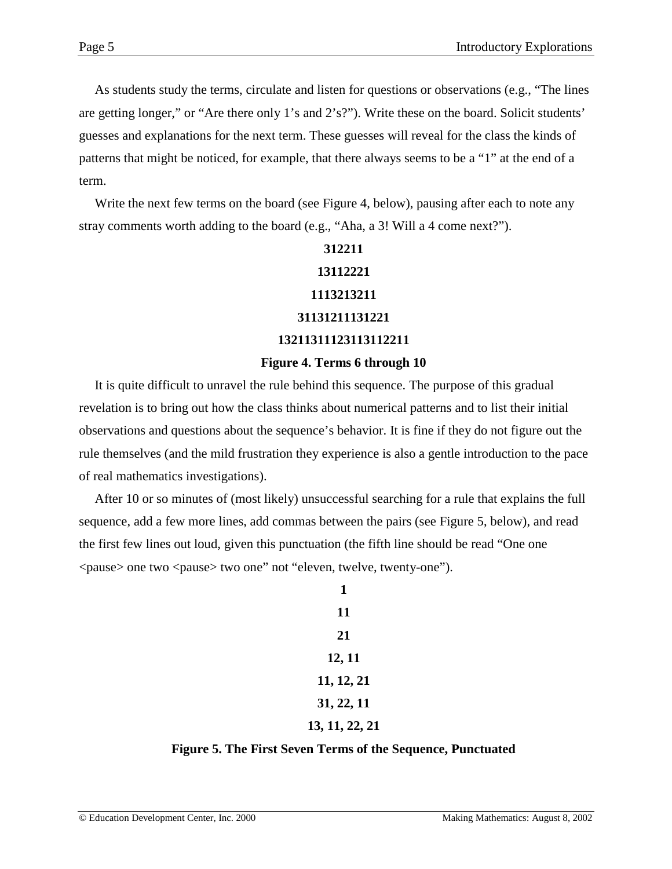As students study the terms, circulate and listen for questions or observations (e.g., "The lines are getting longer," or "Are there only 1's and 2's?"). Write these on the board. Solicit students' guesses and explanations for the next term. These guesses will reveal for the class the kinds of patterns that might be noticed, for example, that there always seems to be a "1" at the end of a term.

Write the next few terms on the board (see Figure 4, below), pausing after each to note any stray comments worth adding to the board (e.g., "Aha, a 3! Will a 4 come next?").

# **312211 13112221 1113213211 31131211131221 13211311123113112211 Figure 4. Terms 6 through 10**

It is quite difficult to unravel the rule behind this sequence. The purpose of this gradual revelation is to bring out how the class thinks about numerical patterns and to list their initial observations and questions about the sequence's behavior. It is fine if they do not figure out the rule themselves (and the mild frustration they experience is also a gentle introduction to the pace of real mathematics investigations).

After 10 or so minutes of (most likely) unsuccessful searching for a rule that explains the full sequence, add a few more lines, add commas between the pairs (see Figure 5, below), and read the first few lines out loud, given this punctuation (the fifth line should be read "One one <pause> one two <pause> two one" not "eleven, twelve, twenty-one").

| 1              |
|----------------|
| 11             |
| 21             |
| 12, 11         |
| 11, 12, 21     |
| 31, 22, 11     |
| 13, 11, 22, 21 |

# **Figure 5. The First Seven Terms of the Sequence, Punctuated**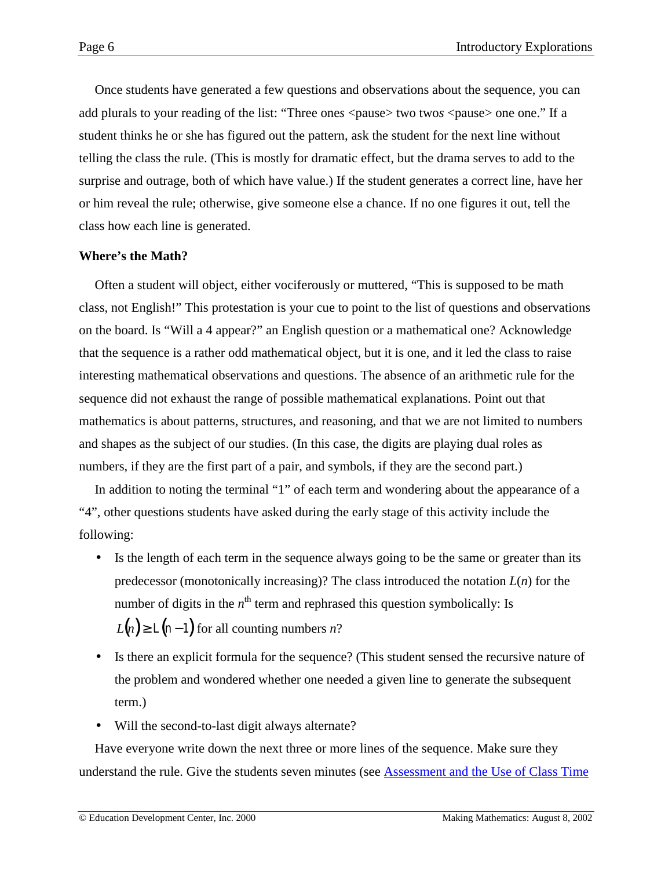Once students have generated a few questions and observations about the sequence, you can add plurals to your reading of the list: "Three ones  $\langle$  pause $\rangle$  two twos  $\langle$  pause $\rangle$  one one." If a student thinks he or she has figured out the pattern, ask the student for the next line without telling the class the rule. (This is mostly for dramatic effect, but the drama serves to add to the surprise and outrage, both of which have value.) If the student generates a correct line, have her or him reveal the rule; otherwise, give someone else a chance. If no one figures it out, tell the class how each line is generated.

#### **Where's the Math?**

Often a student will object, either vociferously or muttered, "This is supposed to be math class, not English!" This protestation is your cue to point to the list of questions and observations on the board. Is "Will a 4 appear?" an English question or a mathematical one? Acknowledge that the sequence is a rather odd mathematical object, but it is one, and it led the class to raise interesting mathematical observations and questions. The absence of an arithmetic rule for the sequence did not exhaust the range of possible mathematical explanations. Point out that mathematics is about patterns, structures, and reasoning, and that we are not limited to numbers and shapes as the subject of our studies. (In this case, the digits are playing dual roles as numbers, if they are the first part of a pair, and symbols, if they are the second part.)

In addition to noting the terminal "1" of each term and wondering about the appearance of a "4", other questions students have asked during the early stage of this activity include the following:

- Is the length of each term in the sequence always going to be the same or greater than its predecessor (monotonically increasing)? The class introduced the notation *L*(*n*) for the number of digits in the *n*<sup>th</sup> term and rephrased this question symbolically: Is  $L(n) \ge L(n-1)$  for all counting numbers *n*?
- Is there an explicit formula for the sequence? (This student sensed the recursive nature of the problem and wondered whether one needed a given line to generate the subsequent term.)
- Will the second-to-last digit always alternate?

Have everyone write down the next three or more lines of the sequence. Make sure they understand the rule. Give the students seven minutes (see [Assessment and the Use of Class Time](http://www2.edc.org/makingmath/handbook/teacher/Assessment/Assessment.asp#WeirdTimes)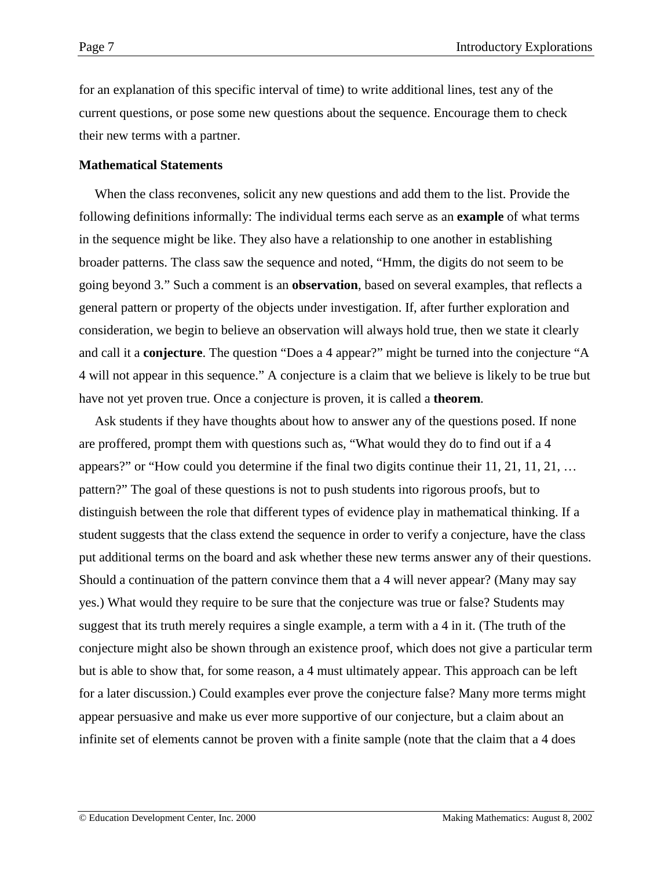for an explanation of this specific interval of time) to write additional lines, test any of the current questions, or pose some new questions about the sequence. Encourage them to check their new terms with a partner.

#### **Mathematical Statements**

When the class reconvenes, solicit any new questions and add them to the list. Provide the following definitions informally: The individual terms each serve as an **example** of what terms in the sequence might be like. They also have a relationship to one another in establishing broader patterns. The class saw the sequence and noted, "Hmm, the digits do not seem to be going beyond 3." Such a comment is an **observation**, based on several examples, that reflects a general pattern or property of the objects under investigation. If, after further exploration and consideration, we begin to believe an observation will always hold true, then we state it clearly and call it a **conjecture**. The question "Does a 4 appear?" might be turned into the conjecture "A 4 will not appear in this sequence." A conjecture is a claim that we believe is likely to be true but have not yet proven true. Once a conjecture is proven, it is called a **theorem**.

Ask students if they have thoughts about how to answer any of the questions posed. If none are proffered, prompt them with questions such as, "What would they do to find out if a 4 appears?" or "How could you determine if the final two digits continue their 11, 21, 11, 21, … pattern?" The goal of these questions is not to push students into rigorous proofs, but to distinguish between the role that different types of evidence play in mathematical thinking. If a student suggests that the class extend the sequence in order to verify a conjecture, have the class put additional terms on the board and ask whether these new terms answer any of their questions. Should a continuation of the pattern convince them that a 4 will never appear? (Many may say yes.) What would they require to be sure that the conjecture was true or false? Students may suggest that its truth merely requires a single example, a term with a 4 in it. (The truth of the conjecture might also be shown through an existence proof, which does not give a particular term but is able to show that, for some reason, a 4 must ultimately appear. This approach can be left for a later discussion.) Could examples ever prove the conjecture false? Many more terms might appear persuasive and make us ever more supportive of our conjecture, but a claim about an infinite set of elements cannot be proven with a finite sample (note that the claim that a 4 does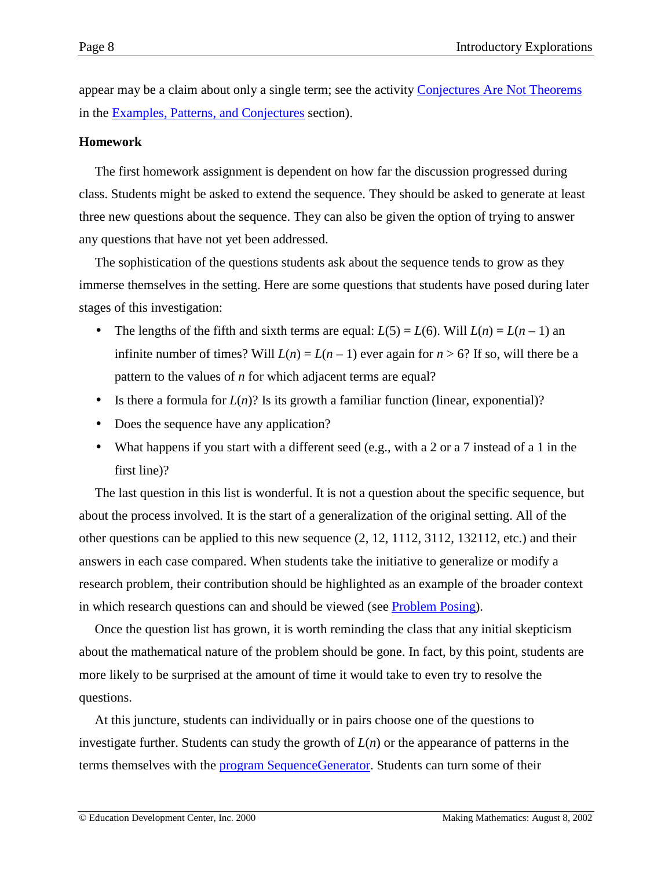appear may be a claim about only a single term; see the activity [Conjectures Are Not Theorems](http://www2.edc.org/makingmath/handbook/teacher/Conjectures/Conjectures.asp#AnExampleIsNotAProof) in the [Examples, Patterns, and Conjectures](http://www2.edc.org/makingmath/handbook/teacher/Conjectures/Conjectures.asp) section).

#### **Homework**

The first homework assignment is dependent on how far the discussion progressed during class. Students might be asked to extend the sequence. They should be asked to generate at least three new questions about the sequence. They can also be given the option of trying to answer any questions that have not yet been addressed.

The sophistication of the questions students ask about the sequence tends to grow as they immerse themselves in the setting. Here are some questions that students have posed during later stages of this investigation:

- The lengths of the fifth and sixth terms are equal:  $L(5) = L(6)$ . Will  $L(n) = L(n 1)$  an infinite number of times? Will  $L(n) = L(n-1)$  ever again for  $n > 6$ ? If so, will there be a pattern to the values of *n* for which adjacent terms are equal?
- Is there a formula for  $L(n)$ ? Is its growth a familiar function (linear, exponential)?
- Does the sequence have any application?
- What happens if you start with a different seed (e.g., with a 2 or a 7 instead of a 1 in the first line)?

The last question in this list is wonderful. It is not a question about the specific sequence, but about the process involved. It is the start of a generalization of the original setting. All of the other questions can be applied to this new sequence (2, 12, 1112, 3112, 132112, etc.) and their answers in each case compared. When students take the initiative to generalize or modify a research problem, their contribution should be highlighted as an example of the broader context in which research questions can and should be viewed (see [Problem Posing\)](http://www2.edc.org/makingmath/handbook/teacher/ProblemPosing/ProblemPosing.asp).

Once the question list has grown, it is worth reminding the class that any initial skepticism about the mathematical nature of the problem should be gone. In fact, by this point, students are more likely to be surprised at the amount of time it would take to even try to resolve the questions.

At this juncture, students can individually or in pairs choose one of the questions to investigate further. Students can study the growth of *L*(*n*) or the appearance of patterns in the terms themselves with the [program SequenceGenerator.](#page-11-0) Students can turn some of their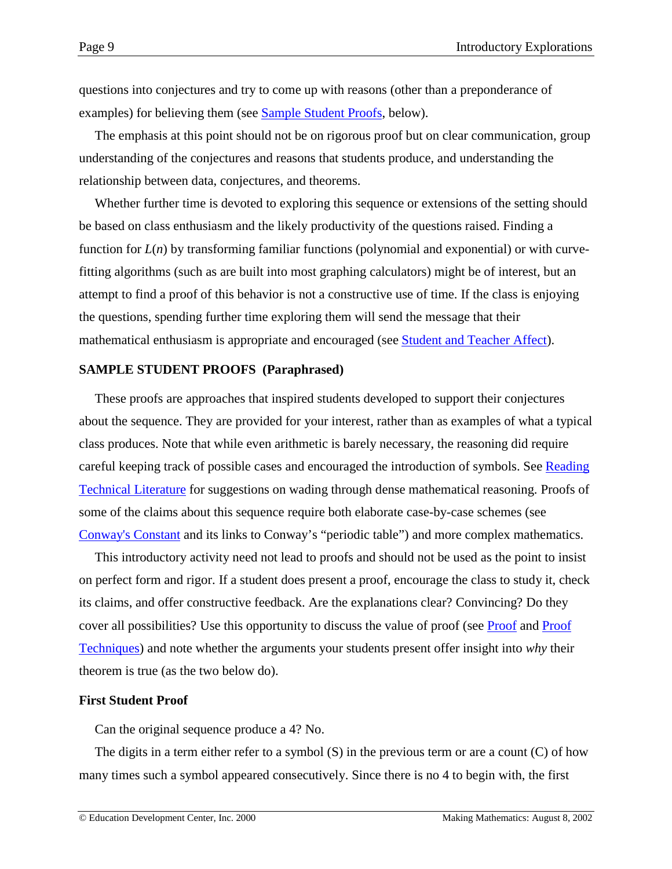questions into conjectures and try to come up with reasons (other than a preponderance of examples) for believing them (see Sample Student Proofs, below).

The emphasis at this point should not be on rigorous proof but on clear communication, group understanding of the conjectures and reasons that students produce, and understanding the relationship between data, conjectures, and theorems.

Whether further time is devoted to exploring this sequence or extensions of the setting should be based on class enthusiasm and the likely productivity of the questions raised. Finding a function for *L*(*n*) by transforming familiar functions (polynomial and exponential) or with curvefitting algorithms (such as are built into most graphing calculators) might be of interest, but an attempt to find a proof of this behavior is not a constructive use of time. If the class is enjoying the questions, spending further time exploring them will send the message that their mathematical enthusiasm is appropriate and encouraged (see [Student and Teacher Affect\)](http://www2.edc.org/makingmath/handbook/teacher/StudentAndTeacherAffect/StudentAndTeacherAffect.asp).

#### **SAMPLE STUDENT PROOFS (Paraphrased)**

These proofs are approaches that inspired students developed to support their conjectures about the sequence. They are provided for your interest, rather than as examples of what a typical class produces. Note that while even arithmetic is barely necessary, the reasoning did require careful keeping track of possible cases and encouraged the introduction of symbols. See [Reading](http://www2.edc.org/makingmath/handbook/teacher/GettingInformation/GettingInformation.asp#ReadingTechnicalLiterature) [Technical Literature](http://www2.edc.org/makingmath/handbook/teacher/GettingInformation/GettingInformation.asp#ReadingTechnicalLiterature) for suggestions on wading through dense mathematical reasoning. Proofs of some of the claims about this sequence require both elaborate case-by-case schemes (see [Conway's Constant](http://www.mathsoft.com/asolve/constant/cnwy/cnwy.html) and its links to Conway's "periodic table") and more complex mathematics.

This introductory activity need not lead to proofs and should not be used as the point to insist on perfect form and rigor. If a student does present a proof, encourage the class to study it, check its claims, and offer constructive feedback. Are the explanations clear? Convincing? Do they cover all possibilities? Use this opportunity to discuss the value of proof (see [Proof](http://www2.edc.org/makingmath/handbook/teacher/Proof/Proof.asp) and [Proof](http://www2.edc.org/makingmath/mathtools/Proof/Proof.asp) [Techniques\)](http://www2.edc.org/makingmath/mathtools/Proof/Proof.asp) and note whether the arguments your students present offer insight into *why* their theorem is true (as the two below do).

#### **First Student Proof**

Can the original sequence produce a 4? No.

The digits in a term either refer to a symbol (S) in the previous term or are a count (C) of how many times such a symbol appeared consecutively. Since there is no 4 to begin with, the first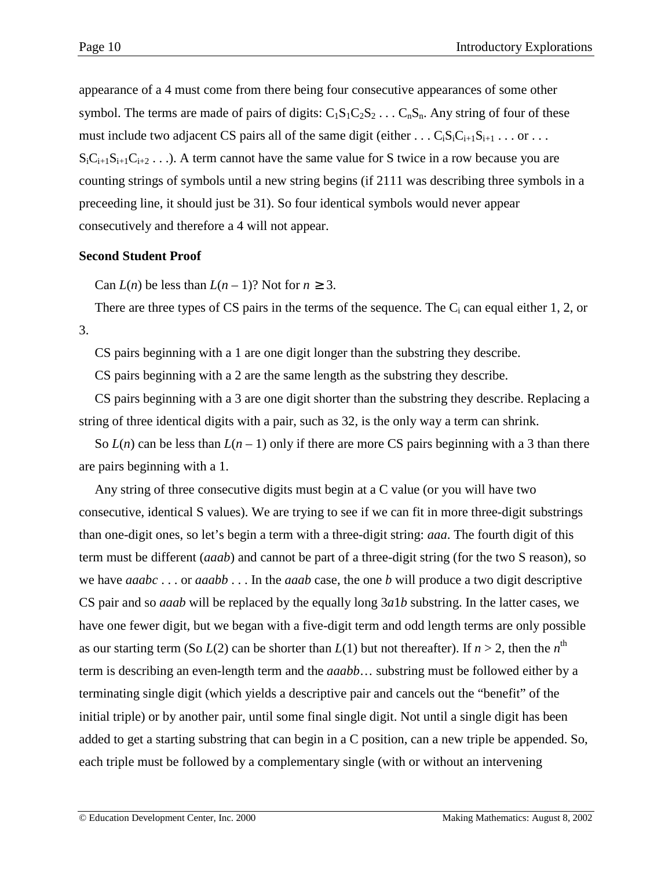appearance of a 4 must come from there being four consecutive appearances of some other symbol. The terms are made of pairs of digits:  $C_1S_1C_2S_2 \ldots C_nS_n$ . Any string of four of these must include two adjacent CS pairs all of the same digit (either . . .  $C_iS_iC_{i+1}S_{i+1}$  . . . or . . .  $S_iC_{i+1}S_{i+1}C_{i+2}$ ...). A term cannot have the same value for S twice in a row because you are counting strings of symbols until a new string begins (if 2111 was describing three symbols in a preceeding line, it should just be 31). So four identical symbols would never appear consecutively and therefore a 4 will not appear.

# **Second Student Proof**

Can  $L(n)$  be less than  $L(n-1)$ ? Not for  $n \geq 3$ .

There are three types of CS pairs in the terms of the sequence. The  $C_i$  can equal either 1, 2, or 3.

CS pairs beginning with a 1 are one digit longer than the substring they describe.

CS pairs beginning with a 2 are the same length as the substring they describe.

CS pairs beginning with a 3 are one digit shorter than the substring they describe. Replacing a string of three identical digits with a pair, such as 32, is the only way a term can shrink.

So  $L(n)$  can be less than  $L(n-1)$  only if there are more CS pairs beginning with a 3 than there are pairs beginning with a 1.

Any string of three consecutive digits must begin at a C value (or you will have two consecutive, identical S values). We are trying to see if we can fit in more three-digit substrings than one-digit ones, so let's begin a term with a three-digit string: *aaa*. The fourth digit of this term must be different (*aaab*) and cannot be part of a three-digit string (for the two S reason), so we have *aaabc* . . . or *aaabb* . . . In the *aaab* case, the one *b* will produce a two digit descriptive CS pair and so *aaab* will be replaced by the equally long 3*a*1*b* substring. In the latter cases, we have one fewer digit, but we began with a five-digit term and odd length terms are only possible as our starting term (So  $L(2)$  can be shorter than  $L(1)$  but not thereafter). If  $n > 2$ , then the  $n^{\text{th}}$ term is describing an even-length term and the *aaabb*… substring must be followed either by a terminating single digit (which yields a descriptive pair and cancels out the "benefit" of the initial triple) or by another pair, until some final single digit. Not until a single digit has been added to get a starting substring that can begin in a C position, can a new triple be appended. So, each triple must be followed by a complementary single (with or without an intervening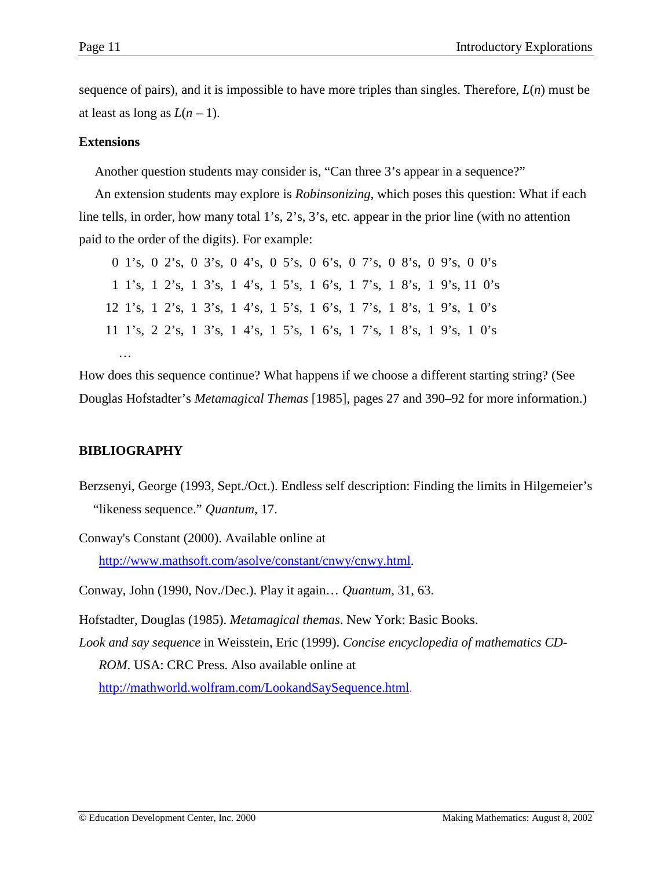sequence of pairs), and it is impossible to have more triples than singles. Therefore, *L*(*n*) must be at least as long as  $L(n-1)$ .

#### **Extensions**

Another question students may consider is, "Can three 3's appear in a sequence?"

An extension students may explore is *Robinsonizing*, which poses this question: What if each line tells, in order, how many total 1's, 2's, 3's, etc. appear in the prior line (with no attention paid to the order of the digits). For example:

|  |  |  | 0 1's, 0 2's, 0 3's, 0 4's, 0 5's, 0 6's, 0 7's, 0 8's, 0 9's, 0 0's  |  |  |  |  |  |  |
|--|--|--|-----------------------------------------------------------------------|--|--|--|--|--|--|
|  |  |  | 1 1's, 1 2's, 1 3's, 1 4's, 1 5's, 1 6's, 1 7's, 1 8's, 1 9's, 11 0's |  |  |  |  |  |  |
|  |  |  | 12 1's, 1 2's, 1 3's, 1 4's, 1 5's, 1 6's, 1 7's, 1 8's, 1 9's, 1 0's |  |  |  |  |  |  |
|  |  |  | 11 1's, 2 2's, 1 3's, 1 4's, 1 5's, 1 6's, 1 7's, 1 8's, 1 9's, 1 0's |  |  |  |  |  |  |
|  |  |  |                                                                       |  |  |  |  |  |  |

How does this sequence continue? What happens if we choose a different starting string? (See Douglas Hofstadter's *Metamagical Themas* [1985], pages 27 and 390–92 for more information.)

# **BIBLIOGRAPHY**

Berzsenyi, George (1993, Sept./Oct.). Endless self description: Finding the limits in Hilgemeier's "likeness sequence." *Quantum*, 17.

Conway's Constant (2000). Available online at [http://www.mathsoft.com/asolve/constant/cnwy/cnwy.html.](http://www.mathsoft.com/asolve/constant/cnwy/cnwy.html)

Conway, John (1990, Nov./Dec.). Play it again… *Quantum*, 31, 63.

Hofstadter, Douglas (1985). *Metamagical themas*. New York: Basic Books.

*Look and say sequence* in Weisstein, Eric (1999). *Concise encyclopedia of mathematics CD-ROM*. USA: CRC Press. Also available online at

[http://mathworld.wolfram.com/LookandSaySequence.html.](http://mathworld.wolfram.com/LookandSaySequence.html)